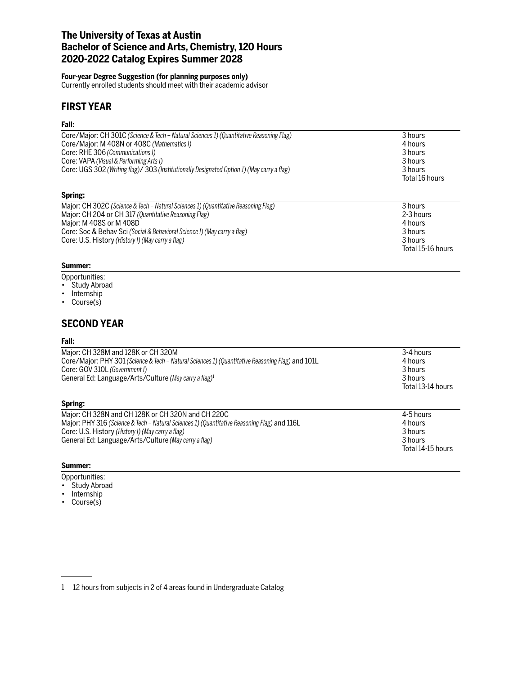# **The University of Texas at Austin Bachelor of Science and Arts, Chemistry, 120 Hours 2020-2022 Catalog Expires Summer 2028**

## **Four-year Degree Suggestion (for planning purposes only)**

Core: Soc & Behav Sci *(Social & Behavioral Science I) (May carry a flag)* 

Currently enrolled students should meet with their academic advisor

# **FIRST YEAR**

## **Fall:**

| Core/Major: CH 301C (Science & Tech - Natural Sciences 1) (Quantitative Reasoning Flag)    | 3 hours        |
|--------------------------------------------------------------------------------------------|----------------|
| Core/Major: M 408N or 408C (Mathematics I)                                                 | 4 hours        |
| Core: RHE 306 (Communications I)                                                           | 3 hours        |
| Core: VAPA (Visual & Performing Arts I)                                                    | 3 hours        |
| Core: UGS 302 (Writing flag)/ 303 (Institutionally Designated Option 1) (May carry a flag) | 3 hours        |
|                                                                                            | Total 16 hours |
| Spring:                                                                                    |                |
| Major: CH 302C (Science & Tech - Natural Sciences 1) (Quantitative Reasoning Flag)         | 3 hours        |
| Major: CH 204 or CH 317 (Quantitative Reasoning Flag)                                      | 2-3 hours      |
| Major: M 408S or M 408D                                                                    | 4 hours        |
| Core: Soc & Behay Sci (Social & Behavioral Science I) (May carry a flag)                   | 3 hours        |

Total 15-16 hours

Core: U.S. History *(History I) (May carry a flag)* 3 hours

#### **Summer:**

- Opportunities:
- Study Abroad
- Internship
- Course(s)

# **SECOND YEAR**

#### **Fall:**

| Major: CH 328M and 128K or CH 320M<br>Core/Major: PHY 301 (Science & Tech – Natural Sciences 1) (Quantitative Reasoning Flag) and 101L<br>Core: GOV 310L (Government I)<br>General Ed: Language/Arts/Culture (May carry a flag) <sup>1</sup>                  | 3-4 hours<br>4 hours<br>3 hours<br>3 hours<br>Total 13-14 hours |
|---------------------------------------------------------------------------------------------------------------------------------------------------------------------------------------------------------------------------------------------------------------|-----------------------------------------------------------------|
| Spring:                                                                                                                                                                                                                                                       |                                                                 |
| Major: CH 328N and CH 128K or CH 320N and CH 220C<br>Major: PHY 316 (Science & Tech – Natural Sciences 1) (Quantitative Reasoning Flag) and 116L<br>Core: U.S. History (History I) (May carry a flag)<br>General Ed: Language/Arts/Culture (May carry a flag) | 4-5 hours<br>4 hours<br>3 hours<br>3 hours<br>Total 14-15 hours |

## **Summer:**

Opportunities:

- Study Abroad
- Internship • Course(s)
- 

<sup>1 12</sup> hours from subjects in 2 of 4 areas found in Undergraduate Catalog